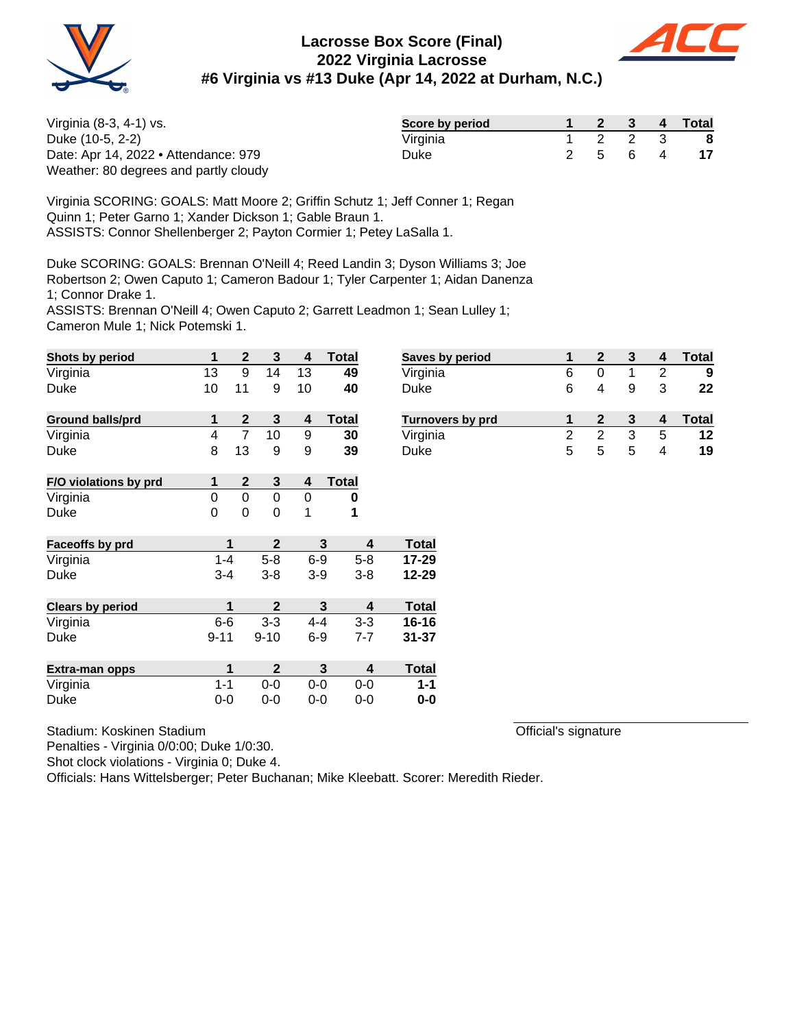



| Virginia (8-3, 4-1) vs.               | Score by period |  |         | 2 3 4 Total |
|---------------------------------------|-----------------|--|---------|-------------|
| Duke (10-5, 2-2)                      | Virginia        |  | 2 2 3   | - 8         |
| Date: Apr 14, 2022 • Attendance: 979  | <b>Duke</b>     |  | 2 5 6 4 |             |
| Weather: 80 degrees and partly cloudy |                 |  |         |             |

Virginia SCORING: GOALS: Matt Moore 2; Griffin Schutz 1; Jeff Conner 1; Regan Quinn 1; Peter Garno 1; Xander Dickson 1; Gable Braun 1. ASSISTS: Connor Shellenberger 2; Payton Cormier 1; Petey LaSalla 1.

Duke SCORING: GOALS: Brennan O'Neill 4; Reed Landin 3; Dyson Williams 3; Joe Robertson 2; Owen Caputo 1; Cameron Badour 1; Tyler Carpenter 1; Aidan Danenza 1; Connor Drake 1. ASSISTS: Brennan O'Neill 4; Owen Caputo 2; Garrett Leadmon 1; Sean Lulley 1;

Cameron Mule 1; Nick Potemski 1.

| Shots by period         | 1        | 2              | 3            | 4       | Total        |   | <b>Saves</b> |
|-------------------------|----------|----------------|--------------|---------|--------------|---|--------------|
| Virginia                | 13       | 9              | 14           | 13      | 49           |   | Virgin       |
| Duke                    | 10       | 11             | 9            | 10      | 40           |   | Duke         |
| <b>Ground balls/prd</b> | 1        | $\mathbf{2}$   | 3            | 4       | <b>Total</b> |   | Turno        |
| Virginia                | 4        | $\overline{7}$ | 10           | 9       | 30           |   | Virgin       |
| Duke                    | 8        | 13             | 9            | 9       | 39           |   | Duke         |
| F/O violations by prd   | 1        | $\mathbf{2}$   | 3            | 4       | <b>Total</b> |   |              |
| Virginia                | 0        | 0              | 0            | 0       | 0            |   |              |
| Duke                    | 0        | 0              | 0            | 1       | 1            |   |              |
| Faceoffs by prd         | 1        |                | $\mathbf 2$  |         | 3            | 4 | <b>Total</b> |
| Virginia                | $1 - 4$  |                | $5 - 8$      | $6-9$   | $5 - 8$      |   | 17-29        |
| Duke                    | $3 - 4$  |                | $3 - 8$      | $3-9$   | $3 - 8$      |   | 12-29        |
| <b>Clears by period</b> | 1        |                | $\mathbf{2}$ |         | 3            | 4 | <b>Total</b> |
| Virginia                | $6-6$    |                | $3 - 3$      | $4 - 4$ | $3 - 3$      |   | 16-16        |
| Duke                    | $9 - 11$ |                | $9 - 10$     | $6 - 9$ | $7 - 7$      |   | $31 - 37$    |
| Extra-man opps          | 1        |                | $\mathbf{2}$ |         | 3            | 4 | <b>Total</b> |
| Virginia                | $1 - 1$  |                | $0 - 0$      | $0 - 0$ | $0 - 0$      |   | $1 - 1$      |
| Duke                    | $0-0$    |                | $0-0$        | 0-0     | $0 - 0$      |   | $0-0$        |

| Stadium: Koskinen Stadium |  |
|---------------------------|--|
|                           |  |

Penalties - Virginia 0/0:00; Duke 1/0:30.

Shot clock violations - Virginia 0; Duke 4.

Officials: Hans Wittelsberger; Peter Buchanan; Mike Kleebatt. Scorer: Meredith Rieder.

| <b>Saves by period</b>  |   |   |   | 4 | Total |
|-------------------------|---|---|---|---|-------|
| Virginia                | 6 |   |   |   | 9     |
| Duke                    | 6 | 4 | я | 3 | 22    |
|                         |   |   |   |   |       |
| <b>Turnovers by prd</b> |   |   |   |   | Total |
| Virginia                | 2 | 2 | з | 5 | 12    |
| Duke                    | 5 | 5 | 5 |   | 19    |
|                         |   |   |   |   |       |

Official's signature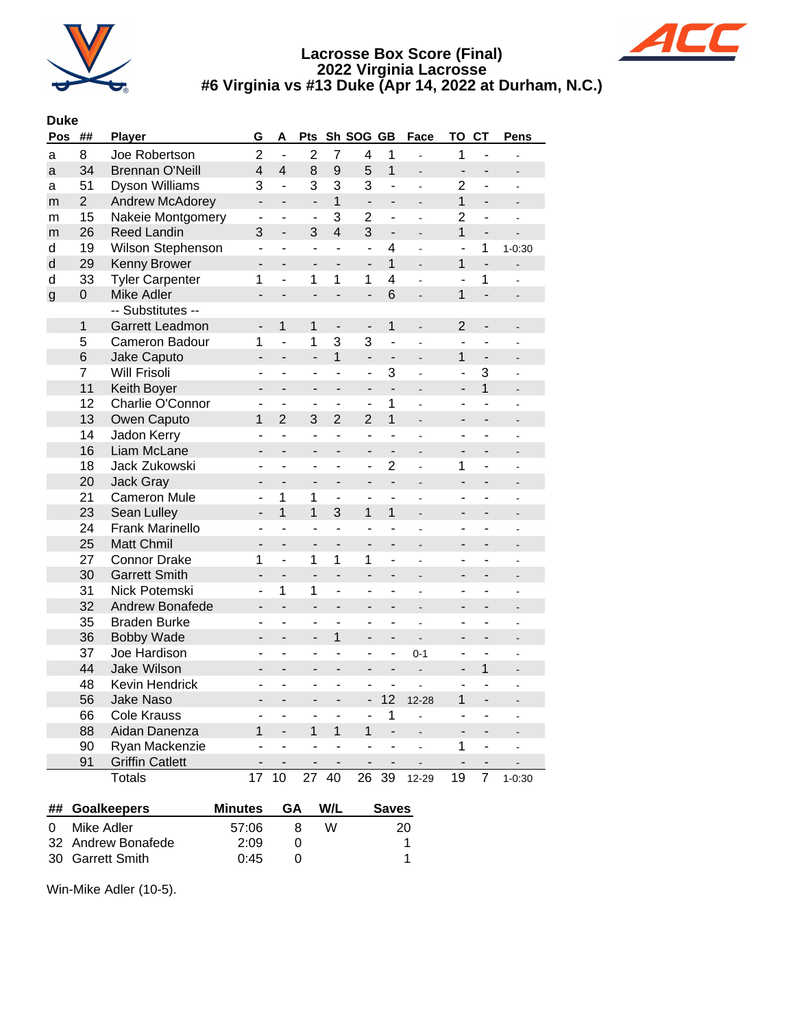



#### **Duke**

| Pos | ##             | <b>Player</b>          | G                            | Α                        | Pts                          |                          | Sh SOG GB                    |                              | Face                     | ΤО                       | <b>CT</b>                    | Pens           |
|-----|----------------|------------------------|------------------------------|--------------------------|------------------------------|--------------------------|------------------------------|------------------------------|--------------------------|--------------------------|------------------------------|----------------|
| a   | 8              | Joe Robertson          | $\overline{2}$               | $\overline{a}$           | $\overline{2}$               | $\overline{7}$           | $\overline{\mathbf{4}}$      | 1                            | $\overline{a}$           | 1                        | $\overline{a}$               | $\overline{a}$ |
| a   | 34             | <b>Brennan O'Neill</b> | $\overline{4}$               | $\overline{4}$           | 8                            | 9                        | 5                            | $\overline{1}$               | $\overline{a}$           | L,                       | $\overline{a}$               | $\overline{a}$ |
| a   | 51             | <b>Dyson Williams</b>  | 3                            | $\overline{a}$           | 3                            | 3                        | 3                            | ÷,                           | $\overline{a}$           | $\overline{2}$           | L,                           | $\overline{a}$ |
| m   | $\overline{2}$ | <b>Andrew McAdorey</b> | $\frac{1}{2}$                | $\overline{a}$           | $\overline{\phantom{m}}$     | $\mathbf{1}$             | $\overline{a}$               | $\overline{a}$               | $\overline{a}$           | $\mathbf{1}$             | $\overline{a}$               |                |
| m   | 15             | Nakeie Montgomery      | $\overline{\phantom{a}}$     | $\blacksquare$           | $\overline{\phantom{a}}$     | 3                        | $\overline{2}$               | $\overline{\phantom{0}}$     | ÷,                       | $\overline{2}$           | ٠                            | ÷,             |
| m   | 26             | <b>Reed Landin</b>     | 3                            | $\overline{a}$           | 3                            | $\overline{4}$           | 3                            | $\qquad \qquad \blacksquare$ | $\overline{a}$           | $\mathbf{1}$             | $\qquad \qquad \blacksquare$ | $\overline{a}$ |
| d   | 19             | Wilson Stephenson      | $\blacksquare$               | $\overline{\phantom{a}}$ | $\overline{a}$               | $\overline{\phantom{a}}$ | $\blacksquare$               | 4                            | $\overline{a}$           | $\overline{a}$           | 1                            | $1 - 0:30$     |
| d   | 29             | Kenny Brower           | $\overline{a}$               | $\overline{a}$           | ÷,                           | L.                       | $\overline{\phantom{a}}$     | $\overline{1}$               | $\overline{a}$           | 1                        | $\frac{1}{2}$                | $\overline{a}$ |
| d   | 33             | <b>Tyler Carpenter</b> | 1                            | $\overline{a}$           | 1                            | 1                        | 1                            | $\overline{4}$               |                          | $\overline{a}$           | 1                            |                |
| g   | $\mathbf 0$    | Mike Adler             | $\overline{\phantom{a}}$     | $\overline{a}$           | $\overline{\phantom{0}}$     | $\overline{a}$           | $\overline{a}$               | 6                            | $\overline{a}$           | 1                        | L,                           |                |
|     |                | -- Substitutes --      |                              |                          |                              |                          |                              |                              |                          |                          |                              |                |
|     | $\mathbf 1$    | Garrett Leadmon        | $\overline{\phantom{a}}$     | $\mathbf{1}$             | 1                            | $\overline{\phantom{a}}$ | $\overline{\phantom{a}}$     | $\mathbf{1}$                 | $\overline{\phantom{a}}$ | 2                        | $\blacksquare$               | $\overline{a}$ |
|     | 5              | Cameron Badour         | 1                            | $\overline{a}$           | 1                            | 3                        | 3                            | $\overline{a}$               |                          | L.                       | L.                           |                |
|     | 6              | Jake Caputo            | $\blacksquare$               | $\overline{a}$           | $\overline{a}$               | $\overline{1}$           | $\blacksquare$               | $\qquad \qquad \blacksquare$ | $\overline{a}$           | 1                        | $\blacksquare$               |                |
|     | $\overline{7}$ | <b>Will Frisoli</b>    | ä,                           | ÷.                       | ä,                           | L,                       | $\overline{a}$               | 3                            | $\overline{\phantom{a}}$ |                          | 3                            |                |
|     | 11             | Keith Boyer            | $\overline{a}$               | $\overline{a}$           | $\overline{a}$               | $\overline{a}$           | $\overline{a}$               | $\overline{a}$               | $\overline{a}$           | $\blacksquare$           | 1                            |                |
|     | 12             | Charlie O'Connor       | L,                           | ÷,                       | $\blacksquare$               | ÷,                       | $\overline{a}$               | 1                            |                          | ä,                       |                              |                |
|     | 13             | Owen Caputo            | 1                            | $\overline{2}$           | 3                            | $\overline{2}$           | $\overline{2}$               | $\overline{1}$               | $\overline{a}$           | $\blacksquare$           | ÷,                           |                |
|     | 14             | Jadon Kerry            | $\overline{a}$               | ÷,                       | ÷,                           | ÷,                       | $\overline{a}$               | ÷,                           | $\overline{a}$           | L.                       | L.                           |                |
|     | 16             | Liam McLane            | $\overline{a}$               | $\overline{a}$           | ÷,                           | $\overline{a}$           | $\overline{a}$               | $\overline{\phantom{a}}$     | $\overline{a}$           | L,                       | $\overline{a}$               |                |
|     | 18             | Jack Zukowski          | $\blacksquare$               | ÷,                       | $\overline{a}$               | L,                       | ÷,                           | $\overline{2}$               |                          | 1                        | L,                           |                |
|     | 20             | <b>Jack Gray</b>       | $\overline{\phantom{a}}$     | $\overline{\phantom{a}}$ | $\overline{\phantom{a}}$     | $\overline{\phantom{0}}$ | $\overline{\phantom{a}}$     | $\overline{a}$               | ÷,                       | $\overline{\phantom{0}}$ | -                            | L              |
|     | 21             | <b>Cameron Mule</b>    | ä,                           | $\mathbf 1$              | 1                            | $\blacksquare$           | $\blacksquare$               | ÷,                           | $\overline{a}$           | ÷,                       | ÷,                           |                |
|     | 23             | Sean Lulley            | $\overline{\phantom{a}}$     | $\overline{1}$           | $\overline{1}$               | 3                        | 1                            | $\mathbf{1}$                 | $\overline{a}$           | ÷,                       | $\overline{\phantom{0}}$     |                |
|     | 24             | <b>Frank Marinello</b> | ÷,                           | $\overline{a}$           | $\overline{a}$               | ÷,                       | ÷,                           | L,                           |                          | L,                       | $\overline{a}$               |                |
|     | 25             | <b>Matt Chmil</b>      | $\overline{\phantom{0}}$     | $\overline{\phantom{m}}$ | $\overline{\phantom{0}}$     | $\overline{\phantom{a}}$ | ÷,                           | $\overline{\phantom{0}}$     | ÷,                       | $\overline{a}$           | $\overline{\phantom{0}}$     |                |
|     | 27             | <b>Connor Drake</b>    | 1                            | $\overline{a}$           | 1                            | 1                        | $\mathbf{1}$                 | $\overline{a}$               |                          | ÷,                       | $\overline{a}$               |                |
|     | 30             | <b>Garrett Smith</b>   | $\overline{a}$               | $\overline{a}$           | $\overline{a}$               | $\overline{a}$           | $\overline{a}$               | $\overline{\phantom{0}}$     | $\overline{a}$           | $\overline{\phantom{0}}$ | $\overline{\phantom{0}}$     |                |
|     | 31             | Nick Potemski          | ÷,                           | 1                        | 1                            | $\overline{a}$           | ÷,                           | ÷,                           | $\overline{a}$           | ÷,                       | ÷,                           |                |
|     | 32             | <b>Andrew Bonafede</b> | -                            | $\overline{\phantom{a}}$ | $\qquad \qquad \blacksquare$ | $\overline{\phantom{0}}$ | $\overline{\phantom{a}}$     | $\overline{\phantom{0}}$     |                          | -                        | $\overline{\phantom{0}}$     |                |
|     | 35             | <b>Braden Burke</b>    | $\overline{\phantom{a}}$     | ÷,                       | $\overline{a}$               | ÷,                       | $\overline{a}$               | ÷,                           | $\overline{a}$           | $\overline{\phantom{0}}$ | $\overline{\phantom{0}}$     |                |
|     | 36             | <b>Bobby Wade</b>      |                              | $\overline{\phantom{a}}$ | $\overline{\phantom{0}}$     | 1                        | $\overline{\phantom{a}}$     | $\overline{\phantom{0}}$     | $\overline{a}$           |                          | $\overline{a}$               |                |
|     | 37             | Joe Hardison           | $\overline{a}$               | ÷,                       | $\overline{a}$               | ÷,                       | $\overline{a}$               | $\overline{a}$               | $0 - 1$                  | $\overline{a}$           | ÷,                           |                |
|     | 44             | Jake Wilson            | -                            | $\overline{\phantom{a}}$ | -                            | -                        | -                            | -                            | $\overline{a}$           | -                        | 1                            |                |
|     | 48             | Kevin Hendrick         | $\blacksquare$               | ä,                       | ÷,                           | ÷,                       | L.                           | $\overline{\phantom{0}}$     | $\overline{a}$           | L,                       | ÷,                           |                |
|     | 56             | <b>Jake Naso</b>       | $\qquad \qquad \blacksquare$ | $\overline{\phantom{a}}$ | $\overline{\phantom{0}}$     | $\overline{\phantom{0}}$ | $\qquad \qquad \blacksquare$ | 12                           | $12 - 28$                | 1                        | $\overline{\phantom{0}}$     |                |
|     | 66             | <b>Cole Krauss</b>     | $\overline{a}$               | $\overline{a}$           | ÷,                           | ÷,                       | $\overline{a}$               | $\mathbf 1$                  | $\overline{a}$           | $\overline{a}$           | $\overline{a}$               | $\overline{a}$ |
|     | 88             | Aidan Danenza          | 1                            | $\overline{a}$           | 1                            | 1                        | 1                            | $\overline{\phantom{a}}$     |                          | $\blacksquare$           | $\overline{\phantom{a}}$     |                |
|     | 90             | Ryan Mackenzie         | $\overline{a}$               | $\overline{a}$           | L.                           | L.                       | $\overline{a}$               | L.                           | $\overline{a}$           | 1                        | ä,                           | L              |
|     | 91             | <b>Griffin Catlett</b> |                              |                          | ÷                            |                          | $\overline{a}$               |                              |                          |                          |                              |                |
|     |                | <b>Totals</b>          | 17                           | 10                       | 27                           | 40                       | 26                           | 39                           | 12-29                    | 19                       | $\overline{7}$               | $1 - 0:30$     |
|     |                |                        |                              |                          |                              |                          |                              |                              |                          |                          |                              |                |

| ## Goalkeepers     | Minutes | GA | W/L | <b>Saves</b> |
|--------------------|---------|----|-----|--------------|
| 0 Mike Adler       | 57:06   | я. | w   | 20.          |
| 32 Andrew Bonafede | 2.09    |    |     |              |
| 30 Garrett Smith   | 0.45    |    |     |              |

Win-Mike Adler (10-5).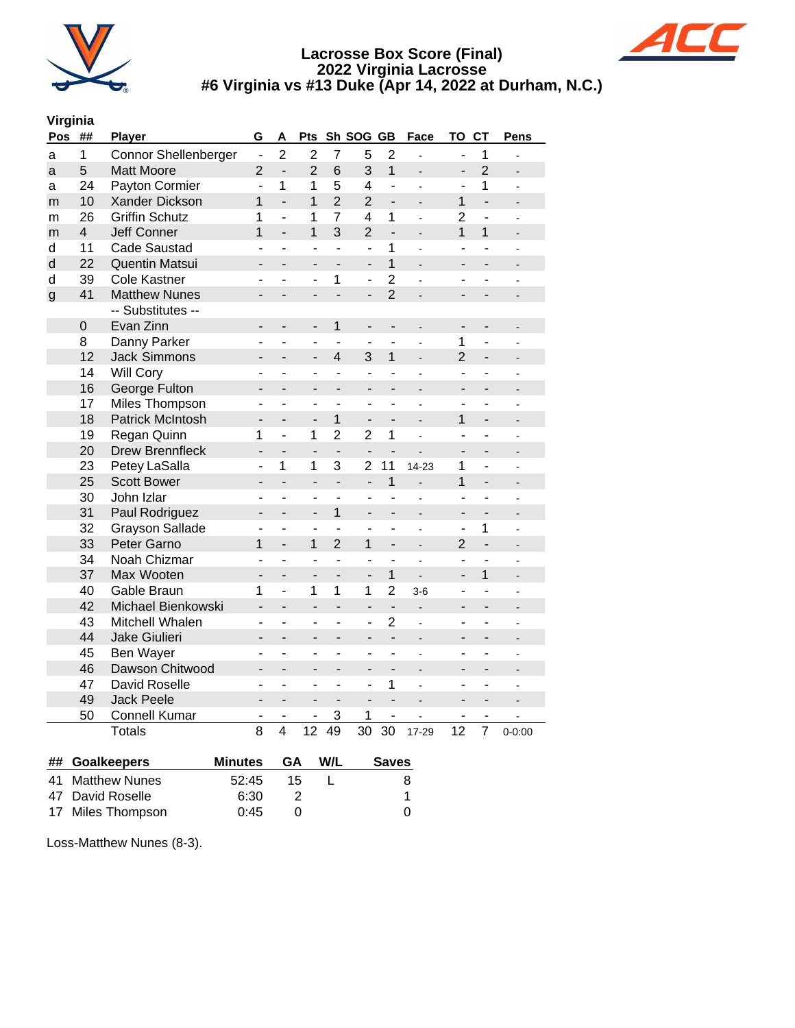



## **Virginia**

| Pos          | ##                      | Player                      | G                        | Α                        | Pts                          |                          | Sh SOG GB                |                          | Face                         | <b>TO</b>                | <b>CT</b>                | <b>Pens</b>    |
|--------------|-------------------------|-----------------------------|--------------------------|--------------------------|------------------------------|--------------------------|--------------------------|--------------------------|------------------------------|--------------------------|--------------------------|----------------|
| a            | $\mathbf{1}$            | <b>Connor Shellenberger</b> | $\frac{1}{2}$            | $\overline{2}$           | $\overline{2}$               | $\overline{7}$           | 5                        | $\overline{2}$           | $\overline{a}$               | $\overline{a}$           | $\mathbf 1$              |                |
| a            | 5                       | <b>Matt Moore</b>           | $\overline{2}$           | $\overline{a}$           | $\overline{2}$               | 6                        | 3                        | $\overline{1}$           |                              | $\overline{a}$           | $\overline{2}$           |                |
| a            | 24                      | Payton Cormier              | ÷,                       | 1                        | 1                            | 5                        | 4                        | $\overline{a}$           |                              | ÷,                       | 1                        |                |
| m            | 10                      | Xander Dickson              | 1                        | $\overline{a}$           | $\mathbf{1}$                 | $\overline{2}$           | $\overline{2}$           | $\overline{\phantom{0}}$ | $\overline{a}$               | 1                        | $\overline{a}$           |                |
| m            | 26                      | <b>Griffin Schutz</b>       | 1                        | ÷,                       | 1                            | $\overline{7}$           | 4                        | 1                        | L.                           | $\overline{2}$           | ÷,                       | ä,             |
| m            | $\overline{\mathbf{4}}$ | <b>Jeff Conner</b>          | 1                        | $\overline{a}$           | $\overline{1}$               | 3                        | $\overline{2}$           | $\overline{\phantom{a}}$ | -                            | $\overline{1}$           | $\overline{1}$           |                |
| d            | 11                      | <b>Cade Saustad</b>         | ÷,                       | L,                       | L,                           | ÷,                       | ÷,                       | 1                        |                              | ÷,                       | $\overline{a}$           |                |
| d            | 22                      | Quentin Matsui              | $\blacksquare$           | $\overline{a}$           | $\overline{a}$               | $\overline{a}$           | $\overline{a}$           | $\overline{1}$           | $\overline{a}$               | $\overline{a}$           | $\overline{a}$           |                |
| d            | 39                      | <b>Cole Kastner</b>         | ٠                        |                          | ÷,                           | $\mathbf{1}$             | $\overline{\phantom{0}}$ | $\overline{2}$           | $\overline{a}$               | ٠                        | $\overline{\phantom{0}}$ | L,             |
| $\mathsf{g}$ | 41                      | <b>Matthew Nunes</b>        | $\overline{\phantom{0}}$ | $\overline{a}$           | $\qquad \qquad \blacksquare$ | $\overline{a}$           | $\overline{\phantom{0}}$ | $\overline{2}$           | $\blacksquare$               | $\overline{\phantom{0}}$ | $\overline{\phantom{0}}$ |                |
|              |                         | -- Substitutes --           |                          |                          |                              |                          |                          |                          |                              |                          |                          |                |
|              | $\mathsf 0$             | Evan Zinn                   | -                        | $\overline{a}$           | $\overline{\phantom{0}}$     | 1                        | $\overline{\phantom{0}}$ |                          | $\blacksquare$               | -                        | $\overline{\phantom{0}}$ |                |
|              | 8                       | Danny Parker                |                          |                          | ۰                            |                          |                          |                          | ÷,                           | 1                        | $\overline{\phantom{0}}$ |                |
|              | 12                      | <b>Jack Simmons</b>         |                          |                          |                              | $\overline{4}$           | 3                        | $\mathbf{1}$             | $\overline{a}$               | $\overline{2}$           | $\overline{\phantom{0}}$ |                |
|              | 14                      | <b>Will Cory</b>            | ۳                        | ÷,                       | $\overline{\phantom{m}}$     | $\sim$                   | L.                       | L.                       | ÷,                           | $\overline{\phantom{a}}$ | ÷.                       |                |
|              | 16                      | George Fulton               |                          | $\overline{a}$           | $\overline{a}$               | $\overline{a}$           | $\overline{\phantom{0}}$ |                          | ÷,                           | $\overline{\phantom{0}}$ |                          |                |
|              | 17                      | Miles Thompson              | L,                       | $\overline{a}$           | L,                           |                          |                          | $\overline{\phantom{0}}$ |                              |                          | ä,                       |                |
|              | 18                      | <b>Patrick McIntosh</b>     | $\overline{\phantom{0}}$ | $\overline{a}$           | $\overline{a}$               | $\mathbf{1}$             | $\overline{\phantom{0}}$ | $\overline{a}$           | $\overline{a}$               | 1                        | $\overline{\phantom{0}}$ |                |
|              | 19                      | Regan Quinn                 | 1                        | ÷,                       | 1                            | $\overline{2}$           | $\overline{2}$           | 1                        | $\overline{a}$               | ÷,                       | $\overline{\phantom{0}}$ |                |
|              | 20                      | <b>Drew Brennfleck</b>      | $\overline{\phantom{0}}$ | $\overline{\phantom{0}}$ | $\qquad \qquad \blacksquare$ | $\overline{\phantom{a}}$ | $\overline{\phantom{0}}$ | $\overline{\phantom{0}}$ |                              |                          |                          |                |
|              | 23                      | Petey LaSalla               | ÷,                       | 1                        | 1                            | 3                        | $\overline{2}$           | 11                       | 14-23                        | 1                        | $\overline{a}$           |                |
|              | 25                      | <b>Scott Bower</b>          | ÷,                       | $\overline{a}$           | $\overline{a}$               | $\overline{a}$           | $\overline{a}$           | $\overline{1}$           | $\overline{a}$               | 1                        | $\overline{\phantom{a}}$ |                |
|              | 30                      | John Izlar                  | ۰                        | ÷,                       | ä,                           | ÷,                       | ä,                       | L,                       | $\overline{a}$               | ä,                       | ÷,                       | L              |
|              | 31                      | Paul Rodriguez              | $\overline{\phantom{0}}$ | $\overline{a}$           | $\overline{\phantom{a}}$     | $\overline{1}$           | $\overline{\phantom{0}}$ | $\overline{\phantom{a}}$ | $\qquad \qquad \blacksquare$ | $\overline{\phantom{0}}$ | $\overline{\phantom{0}}$ |                |
|              | 32                      | <b>Grayson Sallade</b>      |                          |                          | ÷,                           | ÷,                       |                          | $\overline{\phantom{0}}$ |                              | L,                       | 1                        |                |
|              | 33                      | Peter Garno                 | 1                        | $\overline{a}$           | 1                            | $\overline{2}$           | 1                        | $\overline{\phantom{0}}$ | $\blacksquare$               | $\overline{2}$           | $\frac{1}{2}$            |                |
|              | 34                      | Noah Chizmar                | L,                       | $\overline{a}$           | $\overline{\phantom{a}}$     | $\overline{a}$           | ÷,                       | $\overline{\phantom{0}}$ | ä,                           | $\overline{\phantom{a}}$ | $\overline{\phantom{0}}$ | $\overline{a}$ |
|              | 37                      | Max Wooten                  | $\overline{\phantom{0}}$ | $\overline{a}$           | $\overline{a}$               |                          | $\overline{\phantom{0}}$ | $\overline{1}$           |                              | $\overline{\phantom{a}}$ | $\overline{1}$           |                |
|              | 40                      | Gable Braun                 | 1                        | $\overline{a}$           | 1                            | $\mathbf 1$              | 1                        | $\overline{2}$           | $3-6$                        | ÷,                       | ÷,                       |                |
|              | 42                      | Michael Bienkowski          | $\overline{a}$           | $\overline{a}$           | $\overline{a}$               | $\overline{a}$           | $\overline{a}$           | $\frac{1}{2}$            | ÷.                           | $\blacksquare$           | $\overline{\phantom{a}}$ |                |
|              | 43                      | Mitchell Whalen             |                          | -                        |                              |                          | ÷,                       | $\overline{2}$           |                              |                          | ٠                        |                |
|              | 44                      | Jake Giulieri               | ÷,                       | $\overline{a}$           | ÷,                           | $\overline{a}$           | ÷,                       | L,                       | $\overline{a}$               | ÷,                       | $\overline{a}$           |                |
|              | 45                      | Ben Wayer                   | $\overline{\phantom{0}}$ | ÷,                       | ÷,                           | ÷,                       | $\overline{\phantom{0}}$ | $\overline{\phantom{0}}$ | $\overline{a}$               | ÷,                       | $\overline{\phantom{0}}$ |                |
|              | 46                      | Dawson Chitwood             | $\blacksquare$           | $\overline{a}$           | ä,                           | $\overline{\phantom{0}}$ | $\overline{\phantom{a}}$ | $\overline{\phantom{0}}$ | $\overline{a}$               | $\overline{\phantom{a}}$ | $\overline{\phantom{0}}$ |                |
|              | 47                      | David Roselle               | L.                       | $\overline{a}$           | ä,                           | ä,                       | ÷,                       | $\mathbf{1}$             |                              | ä,                       | ÷,                       |                |
|              | 49                      | <b>Jack Peele</b>           |                          | $\overline{a}$           |                              | $\overline{a}$           |                          | $\overline{a}$           |                              | $\overline{a}$           | $\overline{\phantom{0}}$ | $\overline{a}$ |
|              | 50                      | <b>Connell Kumar</b>        | -                        |                          | ٠                            | 3                        | 1                        | $\overline{\phantom{0}}$ |                              | ۰                        | ٠                        |                |
|              |                         | <b>Totals</b>               | 8                        | $\overline{4}$           | 12                           | $\overline{49}$          | 30                       | 30                       | 17-29                        | 12                       | $\overline{7}$           | $0 - 0:00$     |

| ## Goalkeepers    | Minutes GA |     | W/L | <b>Saves</b> |
|-------------------|------------|-----|-----|--------------|
| 41 Matthew Nunes  | 52:45      | 15. |     | 8.           |
| 47 David Roselle  | 6:30       |     |     |              |
| 17 Miles Thompson | 0:45       |     |     | 0            |

Loss-Matthew Nunes (8-3).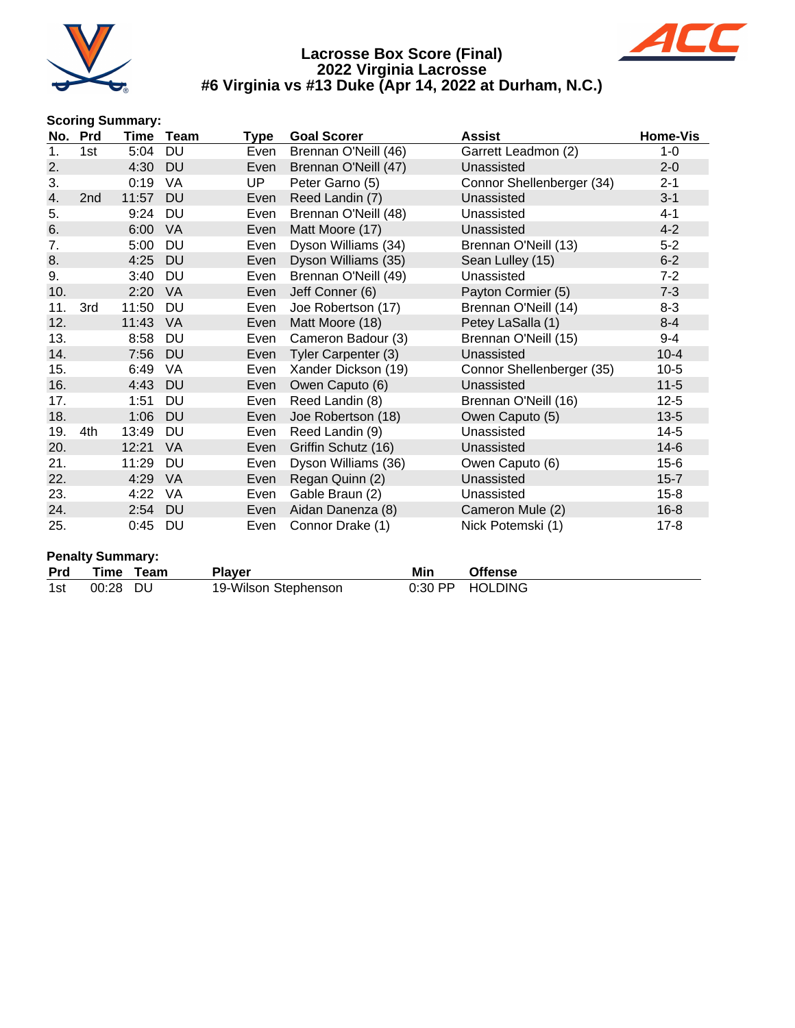



#### **Scoring Summary:**

| No. | <b>Prd</b> | Time  | Team      | Type | <b>Goal Scorer</b>   | <b>Assist</b>             | Home-Vis |
|-----|------------|-------|-----------|------|----------------------|---------------------------|----------|
| 1.  | 1st        | 5:04  | <b>DU</b> | Even | Brennan O'Neill (46) | Garrett Leadmon (2)       | $1 - 0$  |
| 2.  |            | 4:30  | <b>DU</b> | Even | Brennan O'Neill (47) | Unassisted                | $2 - 0$  |
| 3.  |            | 0:19  | VA        | UP.  | Peter Garno (5)      | Connor Shellenberger (34) | $2 - 1$  |
| 4.  | 2nd        | 11:57 | <b>DU</b> | Even | Reed Landin (7)      | Unassisted                | $3 - 1$  |
| 5.  |            | 9:24  | DU        | Even | Brennan O'Neill (48) | Unassisted                | $4 - 1$  |
| 6.  |            | 6:00  | <b>VA</b> | Even | Matt Moore (17)      | Unassisted                | $4 - 2$  |
| 7.  |            | 5:00  | <b>DU</b> | Even | Dyson Williams (34)  | Brennan O'Neill (13)      | $5 - 2$  |
| 8.  |            | 4:25  | <b>DU</b> | Even | Dyson Williams (35)  | Sean Lulley (15)          | $6 - 2$  |
| 9.  |            | 3:40  | DU        | Even | Brennan O'Neill (49) | Unassisted                | $7 - 2$  |
| 10. |            | 2:20  | VA        | Even | Jeff Conner (6)      | Payton Cormier (5)        | $7 - 3$  |
| 11. | 3rd        | 11:50 | DU        | Even | Joe Robertson (17)   | Brennan O'Neill (14)      | $8 - 3$  |
| 12. |            | 11:43 | VA.       | Even | Matt Moore (18)      | Petey LaSalla (1)         | $8 - 4$  |
| 13. |            | 8:58  | <b>DU</b> | Even | Cameron Badour (3)   | Brennan O'Neill (15)      | $9 - 4$  |
| 14. |            | 7:56  | <b>DU</b> | Even | Tyler Carpenter (3)  | Unassisted                | $10 - 4$ |
| 15. |            | 6:49  | VA        | Even | Xander Dickson (19)  | Connor Shellenberger (35) | $10-5$   |
| 16. |            | 4:43  | <b>DU</b> | Even | Owen Caputo (6)      | Unassisted                | $11 - 5$ |
| 17. |            | 1:51  | DU        | Even | Reed Landin (8)      | Brennan O'Neill (16)      | $12 - 5$ |
| 18. |            | 1:06  | <b>DU</b> | Even | Joe Robertson (18)   | Owen Caputo (5)           | $13 - 5$ |
| 19. | 4th        | 13:49 | DU        | Even | Reed Landin (9)      | Unassisted                | $14-5$   |
| 20. |            | 12:21 | <b>VA</b> | Even | Griffin Schutz (16)  | Unassisted                | $14-6$   |
| 21. |            | 11:29 | DU        | Even | Dyson Williams (36)  | Owen Caputo (6)           | $15-6$   |
| 22. |            | 4:29  | <b>VA</b> | Even | Regan Quinn (2)      | Unassisted                | $15 - 7$ |
| 23. |            | 4:22  | VA        | Even | Gable Braun (2)      | Unassisted                | $15 - 8$ |
| 24. |            | 2:54  | <b>DU</b> | Even | Aidan Danenza (8)    | Cameron Mule (2)          | $16 - 8$ |
| 25. |            | 0:45  | DU        | Even | Connor Drake (1)     | Nick Potemski (1)         | $17 - 8$ |

|            | <b>Penalty Summary:</b> |           |                      |     |                 |
|------------|-------------------------|-----------|----------------------|-----|-----------------|
| <b>Prd</b> |                         | Time Team | <b>Player</b>        | Min | Offense         |
| 1st        | 00:28 DU                |           | 19-Wilson Stephenson |     | 0:30 PP HOLDING |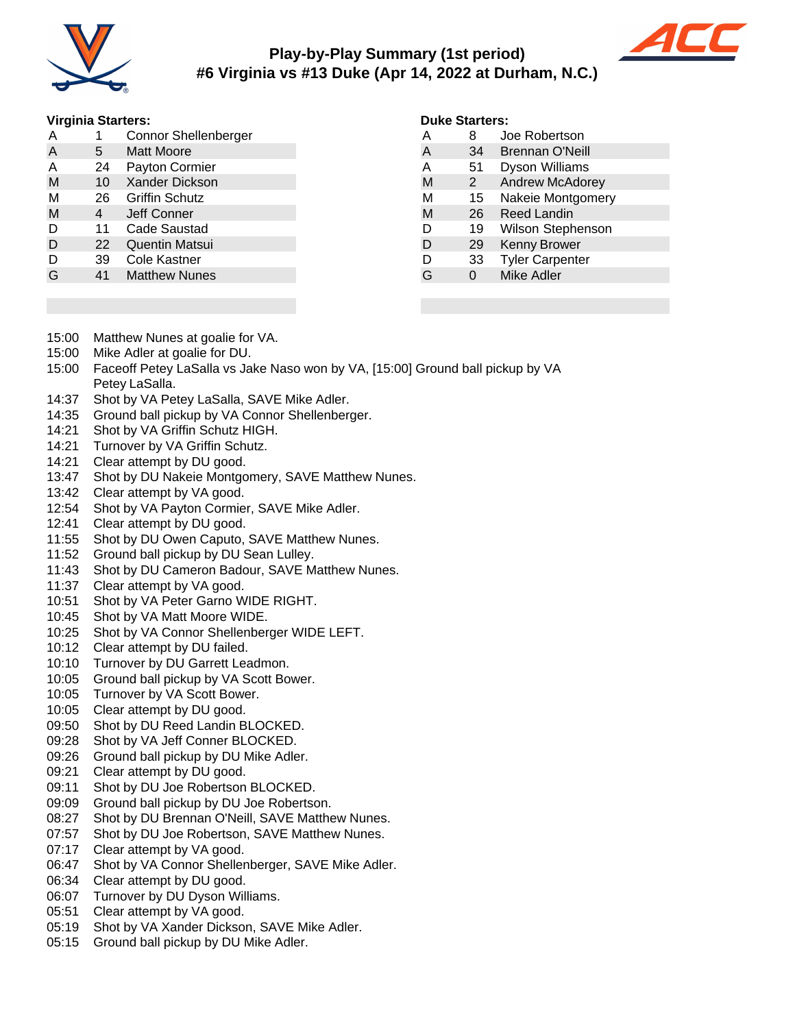

# **Play-by-Play Summary (1st period) #6 Virginia vs #13 Duke (Apr 14, 2022 at Durham, N.C.)**



#### **Virginia Starters:**

| A | 1  | <b>Connor Shellenberger</b> |
|---|----|-----------------------------|
| A | 5. | <b>Matt Moore</b>           |
| Α | 24 | <b>Payton Cormier</b>       |
| M | 10 | <b>Xander Dickson</b>       |
| М | 26 | <b>Griffin Schutz</b>       |
| M | 4  | Jeff Conner                 |
| D | 11 | Cade Saustad                |
| D | 22 | <b>Quentin Matsui</b>       |
| D | 39 | Cole Kastner                |
| G | 41 | <b>Matthew Nunes</b>        |

#### **Duke Starters:**

| А | 8  | Joe Robertson            |
|---|----|--------------------------|
| A | 34 | <b>Brennan O'Neill</b>   |
| A | 51 | <b>Dyson Williams</b>    |
| M | 2  | <b>Andrew McAdorey</b>   |
| М | 15 | Nakeie Montgomery        |
| M | 26 | Reed Landin              |
| D | 19 | <b>Wilson Stephenson</b> |
| D | 29 | <b>Kenny Brower</b>      |
| D | 33 | <b>Tyler Carpenter</b>   |
| G | O  | Mike Adler               |
|   |    |                          |

- 15:00 Matthew Nunes at goalie for VA.
- 15:00 Mike Adler at goalie for DU.
- 15:00 Faceoff Petey LaSalla vs Jake Naso won by VA, [15:00] Ground ball pickup by VA Petey LaSalla.
- 14:37 Shot by VA Petey LaSalla, SAVE Mike Adler.
- 14:35 Ground ball pickup by VA Connor Shellenberger.
- 14:21 Shot by VA Griffin Schutz HIGH.
- 14:21 Turnover by VA Griffin Schutz.
- 14:21 Clear attempt by DU good.
- 13:47 Shot by DU Nakeie Montgomery, SAVE Matthew Nunes.
- 13:42 Clear attempt by VA good.
- 12:54 Shot by VA Payton Cormier, SAVE Mike Adler.
- 12:41 Clear attempt by DU good.
- 11:55 Shot by DU Owen Caputo, SAVE Matthew Nunes.
- 11:52 Ground ball pickup by DU Sean Lulley.
- 11:43 Shot by DU Cameron Badour, SAVE Matthew Nunes.
- 11:37 Clear attempt by VA good.
- 10:51 Shot by VA Peter Garno WIDE RIGHT.
- 10:45 Shot by VA Matt Moore WIDE.
- 10:25 Shot by VA Connor Shellenberger WIDE LEFT.
- 10:12 Clear attempt by DU failed.
- 10:10 Turnover by DU Garrett Leadmon.
- 10:05 Ground ball pickup by VA Scott Bower.
- 10:05 Turnover by VA Scott Bower.
- 10:05 Clear attempt by DU good.
- 09:50 Shot by DU Reed Landin BLOCKED.
- 09:28 Shot by VA Jeff Conner BLOCKED.
- 09:26 Ground ball pickup by DU Mike Adler.
- 09:21 Clear attempt by DU good.
- 09:11 Shot by DU Joe Robertson BLOCKED.
- 09:09 Ground ball pickup by DU Joe Robertson.
- 08:27 Shot by DU Brennan O'Neill, SAVE Matthew Nunes.
- 07:57 Shot by DU Joe Robertson, SAVE Matthew Nunes.
- 07:17 Clear attempt by VA good.
- 06:47 Shot by VA Connor Shellenberger, SAVE Mike Adler.
- 06:34 Clear attempt by DU good.
- 06:07 Turnover by DU Dyson Williams.
- 05:51 Clear attempt by VA good.
- 05:19 Shot by VA Xander Dickson, SAVE Mike Adler.
- 05:15 Ground ball pickup by DU Mike Adler.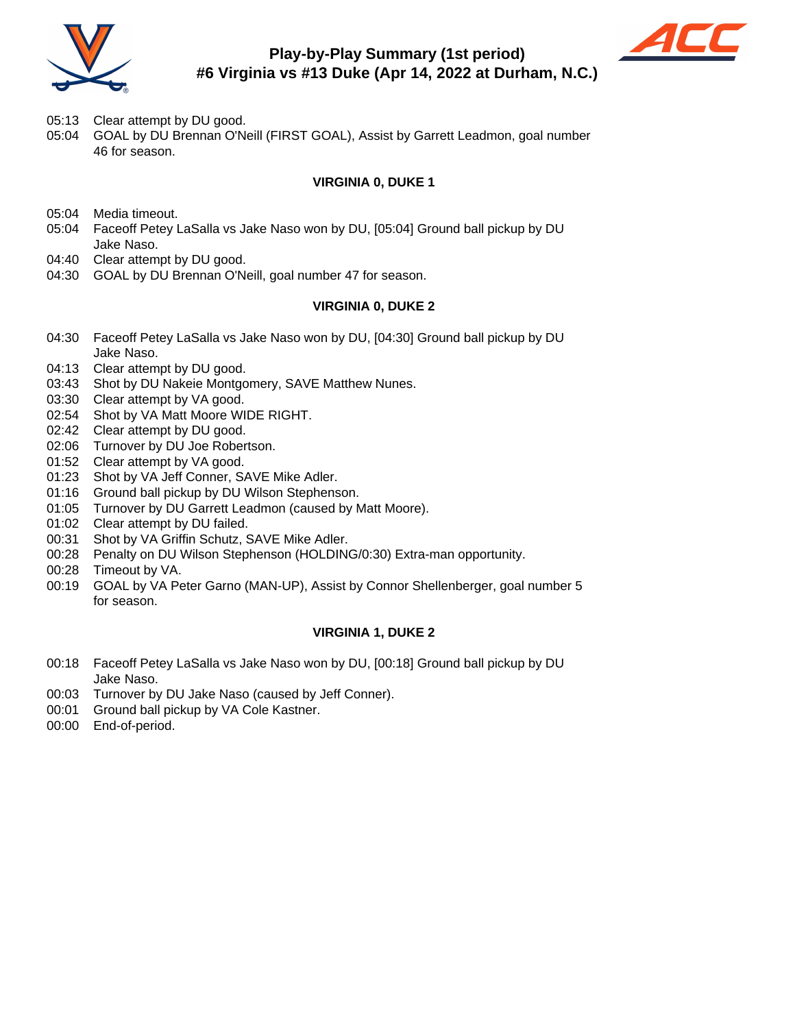

# **Play-by-Play Summary (1st period) #6 Virginia vs #13 Duke (Apr 14, 2022 at Durham, N.C.)**



- 05:13 Clear attempt by DU good.
- 05:04 GOAL by DU Brennan O'Neill (FIRST GOAL), Assist by Garrett Leadmon, goal number 46 for season.

### **VIRGINIA 0, DUKE 1**

- 05:04 Media timeout.
- 05:04 Faceoff Petey LaSalla vs Jake Naso won by DU, [05:04] Ground ball pickup by DU Jake Naso.
- 04:40 Clear attempt by DU good.
- 04:30 GOAL by DU Brennan O'Neill, goal number 47 for season.

#### **VIRGINIA 0, DUKE 2**

- 04:30 Faceoff Petey LaSalla vs Jake Naso won by DU, [04:30] Ground ball pickup by DU Jake Naso.
- 04:13 Clear attempt by DU good.
- 03:43 Shot by DU Nakeie Montgomery, SAVE Matthew Nunes.
- 03:30 Clear attempt by VA good.
- 02:54 Shot by VA Matt Moore WIDE RIGHT.
- 02:42 Clear attempt by DU good.
- 02:06 Turnover by DU Joe Robertson.
- 01:52 Clear attempt by VA good.
- 01:23 Shot by VA Jeff Conner, SAVE Mike Adler.
- 01:16 Ground ball pickup by DU Wilson Stephenson.
- 01:05 Turnover by DU Garrett Leadmon (caused by Matt Moore).
- 01:02 Clear attempt by DU failed.
- 00:31 Shot by VA Griffin Schutz, SAVE Mike Adler.
- 00:28 Penalty on DU Wilson Stephenson (HOLDING/0:30) Extra-man opportunity.
- 00:28 Timeout by VA.
- 00:19 GOAL by VA Peter Garno (MAN-UP), Assist by Connor Shellenberger, goal number 5 for season.

#### **VIRGINIA 1, DUKE 2**

- 00:18 Faceoff Petey LaSalla vs Jake Naso won by DU, [00:18] Ground ball pickup by DU Jake Naso.
- 00:03 Turnover by DU Jake Naso (caused by Jeff Conner).
- 00:01 Ground ball pickup by VA Cole Kastner.
- 00:00 End-of-period.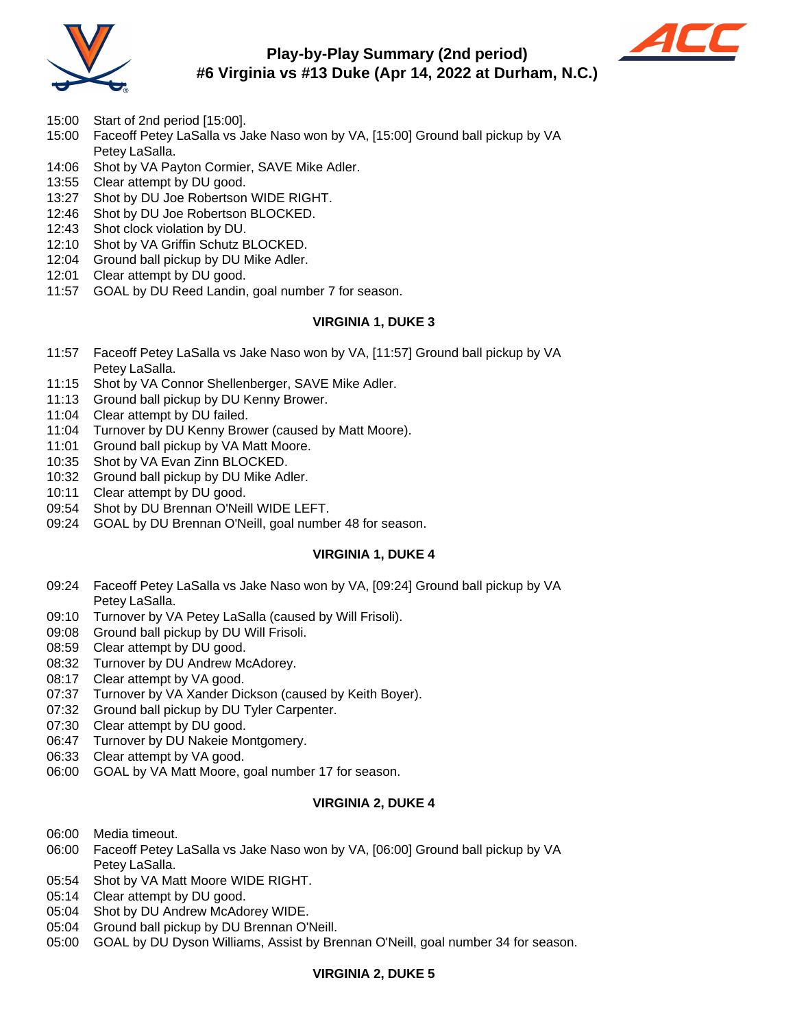

# **Play-by-Play Summary (2nd period) #6 Virginia vs #13 Duke (Apr 14, 2022 at Durham, N.C.)**



- 15:00 Start of 2nd period [15:00].
- 15:00 Faceoff Petey LaSalla vs Jake Naso won by VA, [15:00] Ground ball pickup by VA Petey LaSalla.
- 14:06 Shot by VA Payton Cormier, SAVE Mike Adler.
- 13:55 Clear attempt by DU good.
- 13:27 Shot by DU Joe Robertson WIDE RIGHT.
- 12:46 Shot by DU Joe Robertson BLOCKED.
- 12:43 Shot clock violation by DU.
- 12:10 Shot by VA Griffin Schutz BLOCKED.
- 12:04 Ground ball pickup by DU Mike Adler.
- 12:01 Clear attempt by DU good.
- 11:57 GOAL by DU Reed Landin, goal number 7 for season.

#### **VIRGINIA 1, DUKE 3**

- 11:57 Faceoff Petey LaSalla vs Jake Naso won by VA, [11:57] Ground ball pickup by VA Petey LaSalla.
- 11:15 Shot by VA Connor Shellenberger, SAVE Mike Adler.
- 11:13 Ground ball pickup by DU Kenny Brower.
- 11:04 Clear attempt by DU failed.
- 11:04 Turnover by DU Kenny Brower (caused by Matt Moore).
- 11:01 Ground ball pickup by VA Matt Moore.
- 10:35 Shot by VA Evan Zinn BLOCKED.
- 10:32 Ground ball pickup by DU Mike Adler.
- 10:11 Clear attempt by DU good.
- 09:54 Shot by DU Brennan O'Neill WIDE LEFT.
- 09:24 GOAL by DU Brennan O'Neill, goal number 48 for season.

#### **VIRGINIA 1, DUKE 4**

- 09:24 Faceoff Petey LaSalla vs Jake Naso won by VA, [09:24] Ground ball pickup by VA Petey LaSalla.
- 09:10 Turnover by VA Petey LaSalla (caused by Will Frisoli).
- 09:08 Ground ball pickup by DU Will Frisoli.
- 08:59 Clear attempt by DU good.
- 08:32 Turnover by DU Andrew McAdorey.
- 08:17 Clear attempt by VA good.
- 07:37 Turnover by VA Xander Dickson (caused by Keith Boyer).
- 07:32 Ground ball pickup by DU Tyler Carpenter.
- 07:30 Clear attempt by DU good.
- 06:47 Turnover by DU Nakeie Montgomery.
- 06:33 Clear attempt by VA good.
- 06:00 GOAL by VA Matt Moore, goal number 17 for season.

#### **VIRGINIA 2, DUKE 4**

- 06:00 Media timeout.
- 06:00 Faceoff Petey LaSalla vs Jake Naso won by VA, [06:00] Ground ball pickup by VA Petey LaSalla.
- 05:54 Shot by VA Matt Moore WIDE RIGHT.
- 05:14 Clear attempt by DU good.
- 05:04 Shot by DU Andrew McAdorey WIDE.
- 05:04 Ground ball pickup by DU Brennan O'Neill.
- 05:00 GOAL by DU Dyson Williams, Assist by Brennan O'Neill, goal number 34 for season.

#### **VIRGINIA 2, DUKE 5**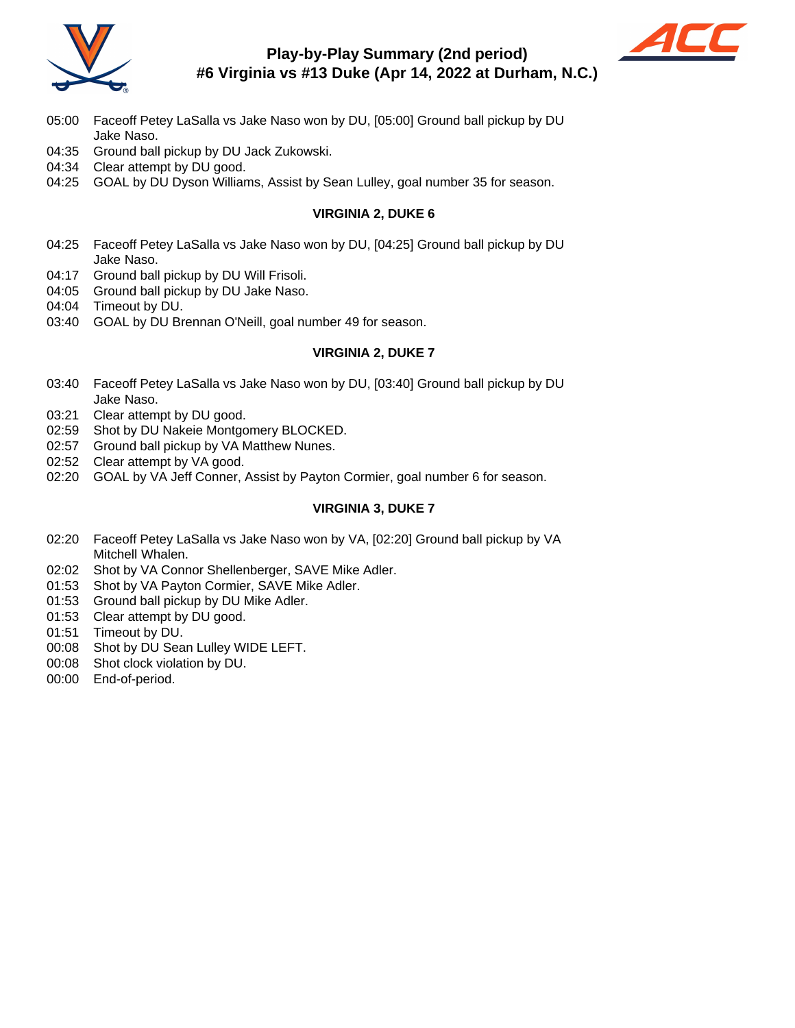

# **Play-by-Play Summary (2nd period) #6 Virginia vs #13 Duke (Apr 14, 2022 at Durham, N.C.)**



- 05:00 Faceoff Petey LaSalla vs Jake Naso won by DU, [05:00] Ground ball pickup by DU Jake Naso.
- 04:35 Ground ball pickup by DU Jack Zukowski.
- 04:34 Clear attempt by DU good.
- 04:25 GOAL by DU Dyson Williams, Assist by Sean Lulley, goal number 35 for season.

### **VIRGINIA 2, DUKE 6**

- 04:25 Faceoff Petey LaSalla vs Jake Naso won by DU, [04:25] Ground ball pickup by DU Jake Naso.
- 04:17 Ground ball pickup by DU Will Frisoli.
- 04:05 Ground ball pickup by DU Jake Naso.
- 04:04 Timeout by DU.
- 03:40 GOAL by DU Brennan O'Neill, goal number 49 for season.

#### **VIRGINIA 2, DUKE 7**

- 03:40 Faceoff Petey LaSalla vs Jake Naso won by DU, [03:40] Ground ball pickup by DU Jake Naso.
- 03:21 Clear attempt by DU good.
- 02:59 Shot by DU Nakeie Montgomery BLOCKED.
- 02:57 Ground ball pickup by VA Matthew Nunes.
- 02:52 Clear attempt by VA good.
- 02:20 GOAL by VA Jeff Conner, Assist by Payton Cormier, goal number 6 for season.

#### **VIRGINIA 3, DUKE 7**

- 02:20 Faceoff Petey LaSalla vs Jake Naso won by VA, [02:20] Ground ball pickup by VA Mitchell Whalen.
- 02:02 Shot by VA Connor Shellenberger, SAVE Mike Adler.
- 01:53 Shot by VA Payton Cormier, SAVE Mike Adler.
- 01:53 Ground ball pickup by DU Mike Adler.
- 01:53 Clear attempt by DU good.
- 01:51 Timeout by DU.
- 00:08 Shot by DU Sean Lulley WIDE LEFT.
- 00:08 Shot clock violation by DU.
- 00:00 End-of-period.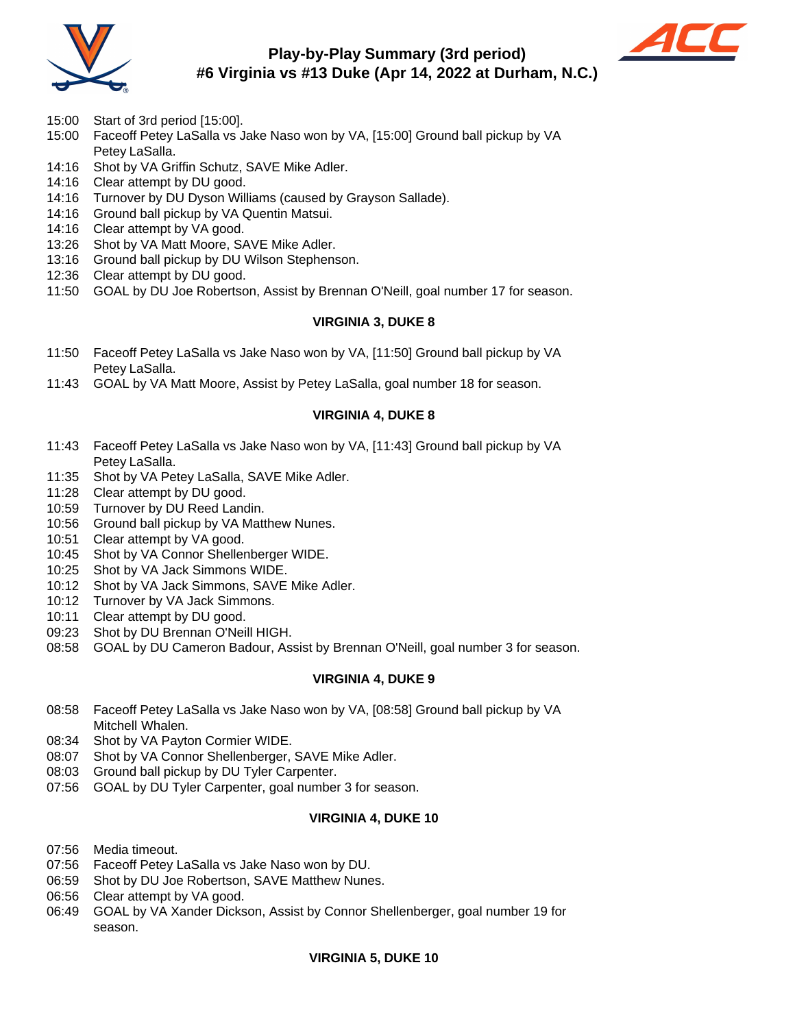

# **Play-by-Play Summary (3rd period) #6 Virginia vs #13 Duke (Apr 14, 2022 at Durham, N.C.)**



- 15:00 Start of 3rd period [15:00].
- 15:00 Faceoff Petey LaSalla vs Jake Naso won by VA, [15:00] Ground ball pickup by VA Petey LaSalla.
- 14:16 Shot by VA Griffin Schutz, SAVE Mike Adler.
- 14:16 Clear attempt by DU good.
- 14:16 Turnover by DU Dyson Williams (caused by Grayson Sallade).
- 14:16 Ground ball pickup by VA Quentin Matsui.
- 14:16 Clear attempt by VA good.
- 13:26 Shot by VA Matt Moore, SAVE Mike Adler.
- 13:16 Ground ball pickup by DU Wilson Stephenson.
- 12:36 Clear attempt by DU good.
- 11:50 GOAL by DU Joe Robertson, Assist by Brennan O'Neill, goal number 17 for season.

#### **VIRGINIA 3, DUKE 8**

- 11:50 Faceoff Petey LaSalla vs Jake Naso won by VA, [11:50] Ground ball pickup by VA Petey LaSalla.
- 11:43 GOAL by VA Matt Moore, Assist by Petey LaSalla, goal number 18 for season.

#### **VIRGINIA 4, DUKE 8**

- 11:43 Faceoff Petey LaSalla vs Jake Naso won by VA, [11:43] Ground ball pickup by VA Petey LaSalla.
- 11:35 Shot by VA Petey LaSalla, SAVE Mike Adler.
- 11:28 Clear attempt by DU good.
- 10:59 Turnover by DU Reed Landin.
- 10:56 Ground ball pickup by VA Matthew Nunes.
- 10:51 Clear attempt by VA good.
- 10:45 Shot by VA Connor Shellenberger WIDE.
- 10:25 Shot by VA Jack Simmons WIDE.
- 10:12 Shot by VA Jack Simmons, SAVE Mike Adler.
- 10:12 Turnover by VA Jack Simmons.
- 10:11 Clear attempt by DU good.
- 09:23 Shot by DU Brennan O'Neill HIGH.
- 08:58 GOAL by DU Cameron Badour, Assist by Brennan O'Neill, goal number 3 for season.

#### **VIRGINIA 4, DUKE 9**

- 08:58 Faceoff Petey LaSalla vs Jake Naso won by VA, [08:58] Ground ball pickup by VA Mitchell Whalen.
- 08:34 Shot by VA Payton Cormier WIDE.
- 08:07 Shot by VA Connor Shellenberger, SAVE Mike Adler.
- 08:03 Ground ball pickup by DU Tyler Carpenter.
- 07:56 GOAL by DU Tyler Carpenter, goal number 3 for season.

#### **VIRGINIA 4, DUKE 10**

- 07:56 Media timeout.
- 07:56 Faceoff Petey LaSalla vs Jake Naso won by DU.
- 06:59 Shot by DU Joe Robertson, SAVE Matthew Nunes.
- 06:56 Clear attempt by VA good.
- 06:49 GOAL by VA Xander Dickson, Assist by Connor Shellenberger, goal number 19 for season.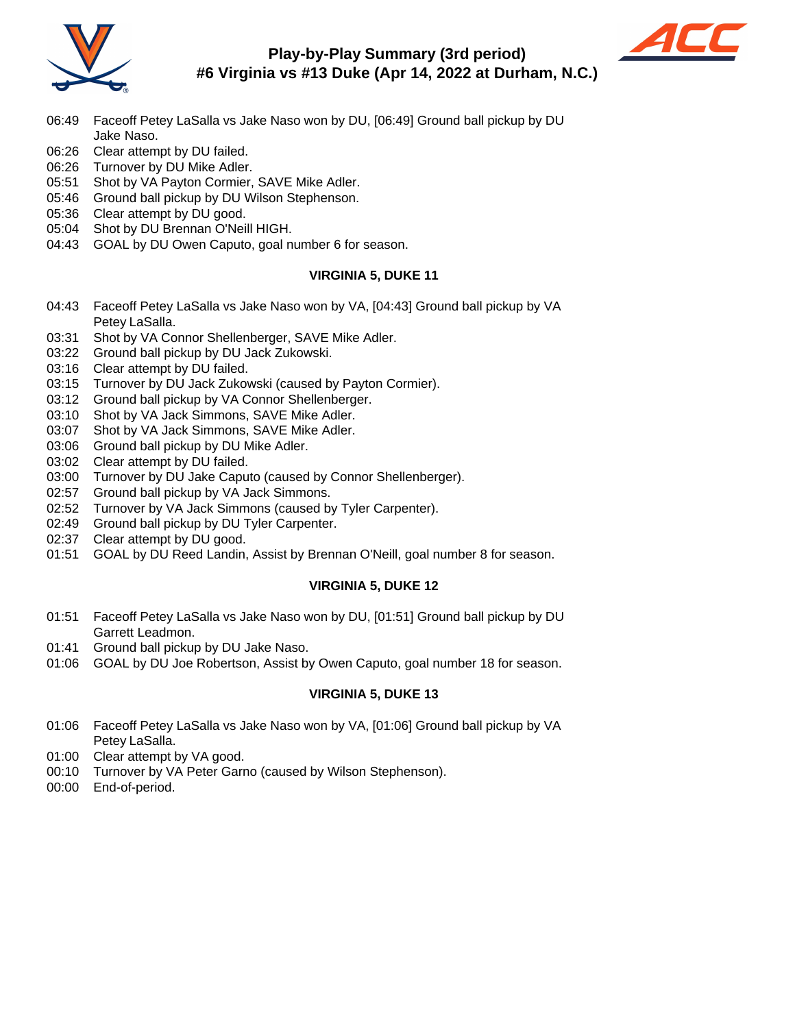

# **Play-by-Play Summary (3rd period) #6 Virginia vs #13 Duke (Apr 14, 2022 at Durham, N.C.)**



- 06:49 Faceoff Petey LaSalla vs Jake Naso won by DU, [06:49] Ground ball pickup by DU Jake Naso.
- 06:26 Clear attempt by DU failed.
- 06:26 Turnover by DU Mike Adler.
- 05:51 Shot by VA Payton Cormier, SAVE Mike Adler.
- 05:46 Ground ball pickup by DU Wilson Stephenson.
- 05:36 Clear attempt by DU good.
- 05:04 Shot by DU Brennan O'Neill HIGH.
- 04:43 GOAL by DU Owen Caputo, goal number 6 for season.

### **VIRGINIA 5, DUKE 11**

- 04:43 Faceoff Petey LaSalla vs Jake Naso won by VA, [04:43] Ground ball pickup by VA Petey LaSalla.
- 03:31 Shot by VA Connor Shellenberger, SAVE Mike Adler.
- 03:22 Ground ball pickup by DU Jack Zukowski.
- 03:16 Clear attempt by DU failed.
- 03:15 Turnover by DU Jack Zukowski (caused by Payton Cormier).
- 03:12 Ground ball pickup by VA Connor Shellenberger.
- 03:10 Shot by VA Jack Simmons, SAVE Mike Adler.
- 03:07 Shot by VA Jack Simmons, SAVE Mike Adler.
- 03:06 Ground ball pickup by DU Mike Adler.
- 03:02 Clear attempt by DU failed.
- 03:00 Turnover by DU Jake Caputo (caused by Connor Shellenberger).
- 02:57 Ground ball pickup by VA Jack Simmons.
- 02:52 Turnover by VA Jack Simmons (caused by Tyler Carpenter).
- 02:49 Ground ball pickup by DU Tyler Carpenter.
- 02:37 Clear attempt by DU good.
- 01:51 GOAL by DU Reed Landin, Assist by Brennan O'Neill, goal number 8 for season.

### **VIRGINIA 5, DUKE 12**

- 01:51 Faceoff Petey LaSalla vs Jake Naso won by DU, [01:51] Ground ball pickup by DU Garrett Leadmon.
- 01:41 Ground ball pickup by DU Jake Naso.
- 01:06 GOAL by DU Joe Robertson, Assist by Owen Caputo, goal number 18 for season.

### **VIRGINIA 5, DUKE 13**

- 01:06 Faceoff Petey LaSalla vs Jake Naso won by VA, [01:06] Ground ball pickup by VA Petey LaSalla.
- 01:00 Clear attempt by VA good.
- 00:10 Turnover by VA Peter Garno (caused by Wilson Stephenson).
- 00:00 End-of-period.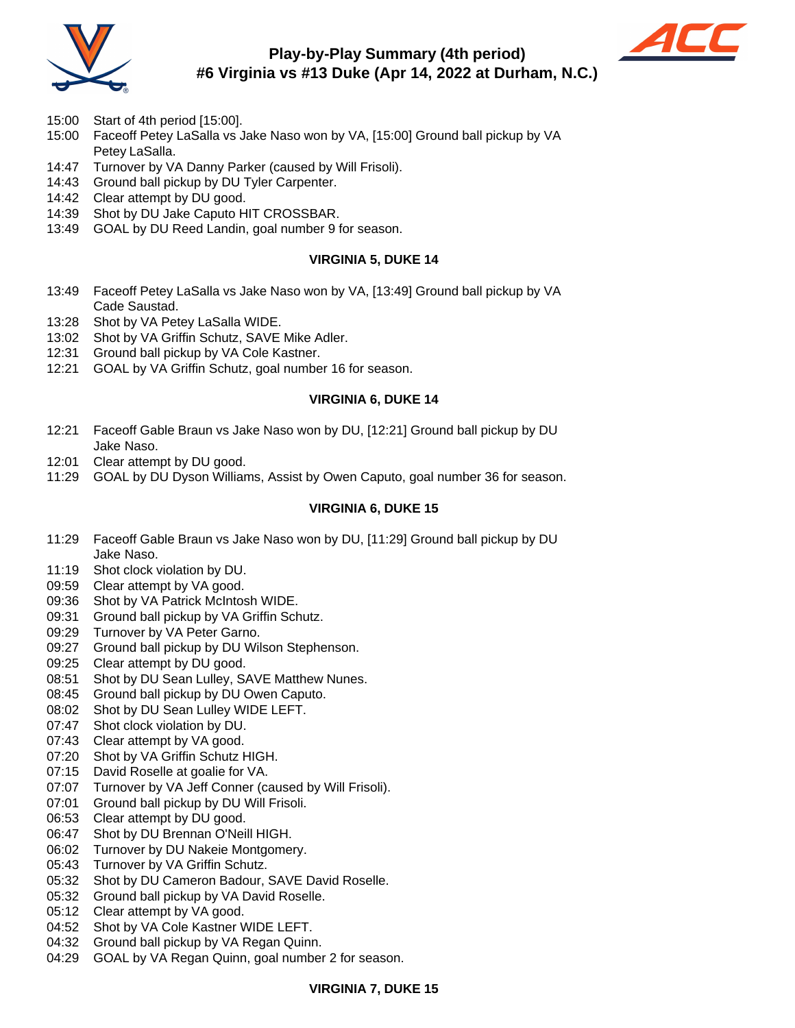

# **Play-by-Play Summary (4th period) #6 Virginia vs #13 Duke (Apr 14, 2022 at Durham, N.C.)**



- 15:00 Start of 4th period [15:00].
- 15:00 Faceoff Petey LaSalla vs Jake Naso won by VA, [15:00] Ground ball pickup by VA Petey LaSalla.
- 14:47 Turnover by VA Danny Parker (caused by Will Frisoli).
- 14:43 Ground ball pickup by DU Tyler Carpenter.
- 14:42 Clear attempt by DU good.
- 14:39 Shot by DU Jake Caputo HIT CROSSBAR.
- 13:49 GOAL by DU Reed Landin, goal number 9 for season.

#### **VIRGINIA 5, DUKE 14**

- 13:49 Faceoff Petey LaSalla vs Jake Naso won by VA, [13:49] Ground ball pickup by VA Cade Saustad.
- 13:28 Shot by VA Petey LaSalla WIDE.
- 13:02 Shot by VA Griffin Schutz, SAVE Mike Adler.
- 12:31 Ground ball pickup by VA Cole Kastner.
- 12:21 GOAL by VA Griffin Schutz, goal number 16 for season.

#### **VIRGINIA 6, DUKE 14**

- 12:21 Faceoff Gable Braun vs Jake Naso won by DU, [12:21] Ground ball pickup by DU Jake Naso.
- 12:01 Clear attempt by DU good.
- 11:29 GOAL by DU Dyson Williams, Assist by Owen Caputo, goal number 36 for season.

#### **VIRGINIA 6, DUKE 15**

- 11:29 Faceoff Gable Braun vs Jake Naso won by DU, [11:29] Ground ball pickup by DU Jake Naso.
- 11:19 Shot clock violation by DU.
- 09:59 Clear attempt by VA good.
- 09:36 Shot by VA Patrick McIntosh WIDE.
- 09:31 Ground ball pickup by VA Griffin Schutz.
- 09:29 Turnover by VA Peter Garno.
- 09:27 Ground ball pickup by DU Wilson Stephenson.
- 09:25 Clear attempt by DU good.
- 08:51 Shot by DU Sean Lulley, SAVE Matthew Nunes.
- 08:45 Ground ball pickup by DU Owen Caputo.
- 08:02 Shot by DU Sean Lulley WIDE LEFT.
- 07:47 Shot clock violation by DU.
- 07:43 Clear attempt by VA good.
- 07:20 Shot by VA Griffin Schutz HIGH.
- 07:15 David Roselle at goalie for VA.
- 07:07 Turnover by VA Jeff Conner (caused by Will Frisoli).
- 07:01 Ground ball pickup by DU Will Frisoli.
- 06:53 Clear attempt by DU good.
- 06:47 Shot by DU Brennan O'Neill HIGH.
- 06:02 Turnover by DU Nakeie Montgomery.
- 05:43 Turnover by VA Griffin Schutz.
- 05:32 Shot by DU Cameron Badour, SAVE David Roselle.
- 05:32 Ground ball pickup by VA David Roselle.
- 05:12 Clear attempt by VA good.
- 04:52 Shot by VA Cole Kastner WIDE LEFT.
- 04:32 Ground ball pickup by VA Regan Quinn.
- 04:29 GOAL by VA Regan Quinn, goal number 2 for season.